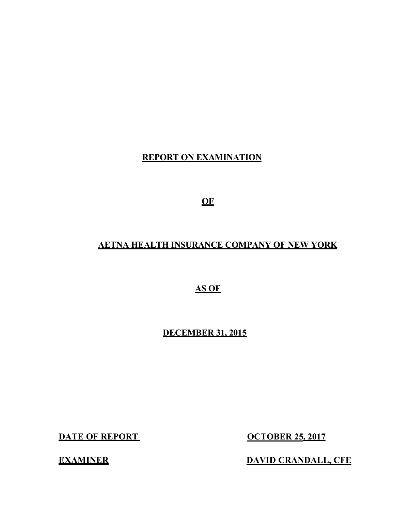**DATE OF REPORT CONTROLLER 25, 2017** 

**EXAMINER** 

**EXAMPLE DAVID CRANDALL, CFE** 

 **DECEMBER 31, 2015** 

**AS OF** 

 **AETNA HEALTH INSURANCE COMPANY OF NEW YORK** 

**OF** 

 **REPORT ON EXAMINATION**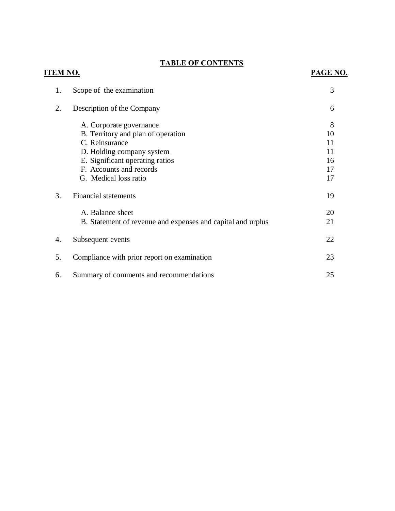## **TABLE OF CONTENTS**

**ITEM NO.** 

## **PAGE NO.**

| 1. | Scope of the examination                                                                                                                                                                            | 3                                     |
|----|-----------------------------------------------------------------------------------------------------------------------------------------------------------------------------------------------------|---------------------------------------|
| 2. | Description of the Company                                                                                                                                                                          | 6                                     |
|    | A. Corporate governance<br>B. Territory and plan of operation<br>C. Reinsurance<br>D. Holding company system<br>E. Significant operating ratios<br>F. Accounts and records<br>G. Medical loss ratio | 8<br>10<br>11<br>11<br>16<br>17<br>17 |
| 3. | <b>Financial statements</b>                                                                                                                                                                         | 19                                    |
|    | A. Balance sheet<br>B. Statement of revenue and expenses and capital and urplus                                                                                                                     | 20<br>21                              |
| 4. | Subsequent events                                                                                                                                                                                   | 22                                    |
| 5. | Compliance with prior report on examination                                                                                                                                                         | 23                                    |
| 6. | Summary of comments and recommendations                                                                                                                                                             | 25                                    |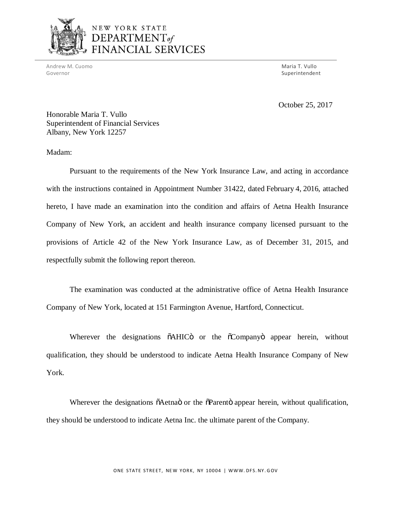

## NEW YORK STATE DEPARTMENT<sub>of</sub> **SCIAL SERVICES**

Andrew M. Cuomo National Andrew Maria T. Vullo National Andrew Maria T. Vullo National Andrew Maria T. Vullo Governor Superintendent Superintendent Superintendent Superintendent Superintendent Superintendent Superintendent Superintendent Superintendent Superintendent Superintendent Superintendent Superintendent Superintendent Sup

October 25, 2017

 Honorable Maria T. Vullo Superintendent of Financial Services Albany, New York 12257

#### Madam:

 Pursuant to the requirements of the New York Insurance Law, and acting in accordance with the instructions contained in Appointment Number 31422, dated February 4, 2016, attached hereto, I have made an examination into the condition and affairs of Aetna Health Insurance Company of New York, an accident and health insurance company licensed pursuant to the provisions of Article 42 of the New York Insurance Law, as of December 31, 2015, and respectfully submit the following report thereon.

 The examination was conducted at the administrative office of Aetna Health Insurance Company of New York, located at 151 Farmington Avenue, Hartford, Connecticut.

Wherever the designations  $\tilde{o}$ AHIC $\tilde{o}$  or the  $\tilde{o}$ Company $\tilde{o}$  appear herein, without qualification, they should be understood to indicate Aetna Health Insurance Company of New York.

Wherever the designations  $\tilde{o}$ Aetnaö or the  $\tilde{o}$ Parentö appear herein, without qualification, they should be understood to indicate Aetna Inc. the ultimate parent of the Company.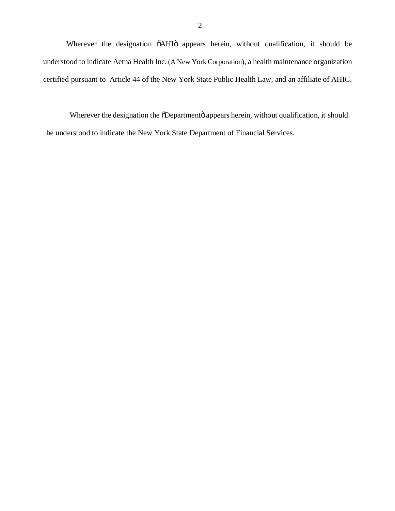Wherever the designation  $\tilde{o}$ AHI $\tilde{o}$  appears herein, without qualification, it should be understood to indicate Aetna Health Inc. (A New York Corporation), a health maintenance organization certified pursuant to Article 44 of the New York State Public Health Law, and an affiliate of AHIC.

Wherever the designation the  $\delta$ Departmentö appears herein, without qualification, it should be understood to indicate the New York State Department of Financial Services.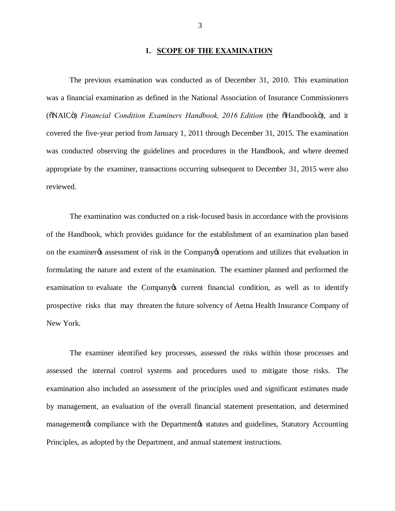#### **1. SCOPE OF THE EXAMINATION**

 The previous examination was conducted as of December 31, 2010. This examination was a financial examination as defined in the National Association of Insurance Commissioners ( $\delta NAIC\ddot{o}$ ) *Financial Condition Examiners Handbook, 2016 Edition* (the  $\delta H$ andbook $\ddot{o}$ ), and it covered the five-year period from January 1, 2011 through December 31, 2015. The examination was conducted observing the guidelines and procedures in the Handbook, and where deemed appropriate by the examiner, transactions occurring subsequent to December 31, 2015 were also reviewed.

 The examination was conducted on a risk-focused basis in accordance with the provisions of the Handbook, which provides guidance for the establishment of an examination plan based on the examiner *assessment* of risk in the Company *a* operations and utilizes that evaluation in formulating the nature and extent of the examination. The examiner planned and performed the examination to evaluate the Company & current financial condition, as well as to identify prospective risks that may threaten the future solvency of Aetna Health Insurance Company of New York.

<span id="page-4-0"></span> The examiner identified key processes, assessed the risks within those processes and assessed the internal control systems and procedures used to mitigate those risks. The examination also included an assessment of the principles used and significant estimates made by management, an evaluation of the overall financial statement presentation, and determined managementøs compliance with the Departmentøs statutes and guidelines, Statutory Accounting Principles, as adopted by the Department, and annual statement instructions.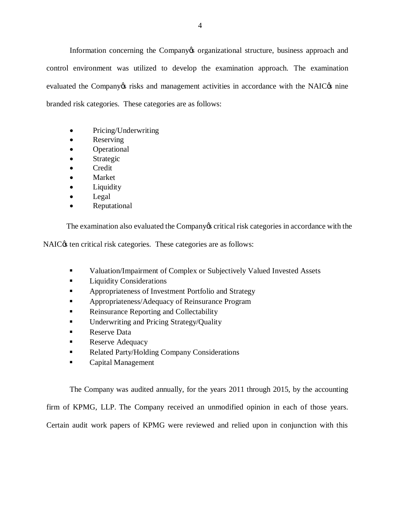Information concerning the Company to organizational structure, business approach and control environment was utilized to develop the examination approach. The examination evaluated the Company os risks and management activities in accordance with the NAIC  $\alpha$  nine branded risk categories. These categories are as follows:

- Pricing/Underwriting
- Reserving
- Operational
- **Strategic**
- Credit
- **Market**
- Liquidity
- Legal
- Reputational

The examination also evaluated the Company os critical risk categories in accordance with the

NAIC $\circ$ s ten critical risk categories. These categories are as follows:

- Valuation/Impairment of Complex or Subjectively Valued Invested Assets
- **•** Liquidity Considerations
- **Appropriateness of Investment Portfolio and Strategy**
- **Appropriateness/Adequacy of Reinsurance Program**
- Reinsurance Reporting and Collectability
- Underwriting and Pricing Strategy/Quality
- **Reserve Data**
- Reserve Adequacy
- Related Party/Holding Company Considerations
- **•** Capital Management

 The Company was audited annually, for the years 2011 through 2015, by the accounting firm of KPMG, LLP. The Company received an unmodified opinion in each of those years. Certain audit work papers of KPMG were reviewed and relied upon in conjunction with this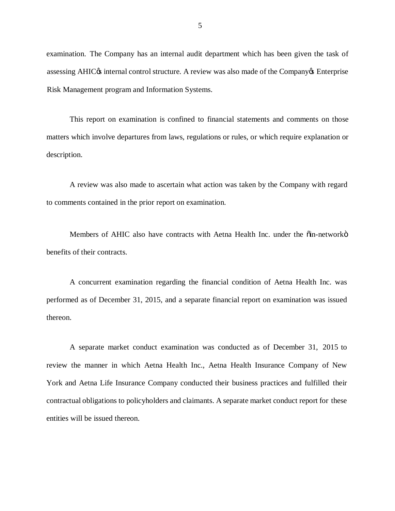examination. The Company has an internal audit department which has been given the task of assessing AHIC $\circ$  internal control structure. A review was also made of the Company $\circ$  Enterprise Risk Management program and Information Systems.

 This report on examination is confined to financial statements and comments on those matters which involve departures from laws, regulations or rules, or which require explanation or description.

 A review was also made to ascertain what action was taken by the Company with regard to comments contained in the prior report on examination.

Members of AHIC also have contracts with Aetna Health Inc. under the oin-networkö benefits of their contracts.

 A concurrent examination regarding the financial condition of Aetna Health Inc. was performed as of December 31, 2015, and a separate financial report on examination was issued thereon.

 A separate market conduct examination was conducted as of December 31, 2015 to review the manner in which Aetna Health Inc., Aetna Health Insurance Company of New York and Aetna Life Insurance Company conducted their business practices and fulfilled their contractual obligations to policyholders and claimants. A separate market conduct report for these entities will be issued thereon.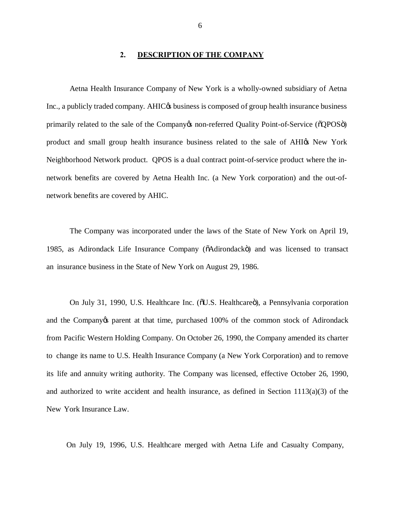#### **2. DESCRIPTION OF THE COMPANY**

 Aetna Health Insurance Company of New York is a wholly-owned subsidiary of Aetna Inc., a publicly traded company. AHIC $\alpha$  business is composed of group health insurance business primarily related to the sale of the Company os non-referred Quality Point-of-Service (o QPOSO) product and small group health insurance business related to the sale of AHIGs New York Neighborhood Network product. QPOS is a dual contract point-of-service product where the in- network benefits are covered by Aetna Health Inc. (a New York corporation) and the out-of-network benefits are covered by AHIC.

 The Company was incorporated under the laws of the State of New York on April 19, 1985, as Adirondack Life Insurance Company (õAdirondackö) and was licensed to transact an insurance business in the State of New York on August 29, 1986.

On July 31, 1990, U.S. Healthcare Inc. (õU.S. Healthcareö), a Pennsylvania corporation and the Company ts parent at that time, purchased 100% of the common stock of Adirondack from Pacific Western Holding Company. On October 26, 1990, the Company amended its charter to change its name to U.S. Health Insurance Company (a New York Corporation) and to remove its life and annuity writing authority. The Company was licensed, effective October 26, 1990, and authorized to write accident and health insurance, as defined in Section 1113(a)(3) of the New York Insurance Law.

<span id="page-7-0"></span>On July 19, 1996, U.S. Healthcare merged with Aetna Life and Casualty Company,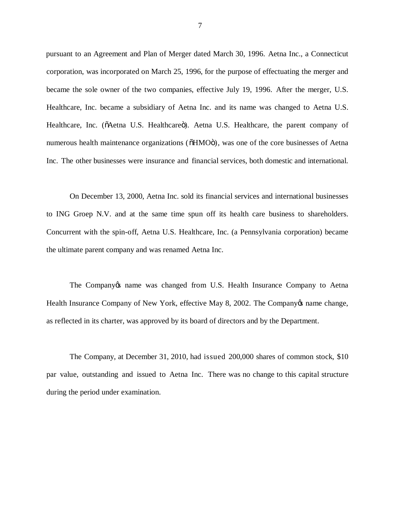pursuant to an Agreement and Plan of Merger dated March 30, 1996. Aetna Inc., a Connecticut corporation, was incorporated on March 25, 1996, for the purpose of effectuating the merger and became the sole owner of the two companies, effective July 19, 1996. After the merger, U.S. Healthcare, Inc. became a subsidiary of Aetna Inc. and its name was changed to Aetna U.S. Healthcare, Inc. (õAetna U.S. Healthcareö). Aetna U.S. Healthcare, the parent company of numerous health maintenance organizations ( $\delta HMO\ddot{o}$ ), was one of the core businesses of Aetna Inc. The other businesses were insurance and financial services, both domestic and international.

 On December 13, 2000, Aetna Inc. sold its financial services and international businesses to ING Groep N.V. and at the same time spun off its health care business to shareholders. Concurrent with the spin-off, Aetna U.S. Healthcare, Inc. (a Pennsylvania corporation) became the ultimate parent company and was renamed Aetna Inc.

The Company to name was changed from U.S. Health Insurance Company to Aetna Health Insurance Company of New York, effective May 8, 2002. The Company & name change, as reflected in its charter, was approved by its board of directors and by the Department.

 The Company, at December 31, 2010, had issued 200,000 shares of common stock, \$10 par value, outstanding and issued to Aetna Inc. There was no change to this capital structure during the period under examination.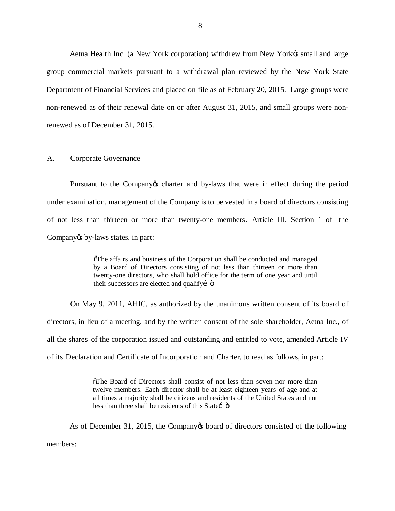Aetna Health Inc. (a New York corporation) withdrew from New York $\alpha$  small and large group commercial markets pursuant to a withdrawal plan reviewed by the New York State Department of Financial Services and placed on file as of February 20, 2015. Large groups were non-renewed as of their renewal date on or after August 31, 2015, and small groups were non-renewed as of December 31, 2015.

#### A. Corporate Governance

Pursuant to the Company ts charter and by-laws that were in effect during the period under examination, management of the Company is to be vested in a board of directors consisting of not less than thirteen or more than twenty-one members. Article III, Section 1 of the Company $\circ$ s by-laws states, in part:

> $\delta$ The affairs and business of the Corporation shall be conducted and managed by a Board of Directors consisting of not less than thirteen or more than twenty-one directors, who shall hold office for the term of one year and until their successors are elected and qualifyí ö

 On May 9, 2011, AHIC, as authorized by the unanimous written consent of its board of directors, in lieu of a meeting, and by the written consent of the sole shareholder, Aetna Inc., of all the shares of the corporation issued and outstanding and entitled to vote, amended Article IV of its Declaration and Certificate of Incorporation and Charter, to read as follows, in part:

> <span id="page-9-0"></span> $\delta$ The Board of Directors shall consist of not less than seven nor more than twelve members. Each director shall be at least eighteen years of age and at all times a majority shall be citizens and residents of the United States and not less than three shall be residents of this Stateí ö

As of December 31, 2015, the Company to board of directors consisted of the following members: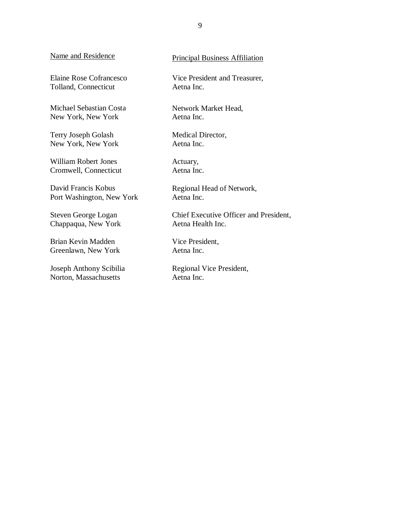#### Name and Residence

 Elaine Rose Cofrancesco Tolland, Connecticut

 Michael Sebastian Costa New York, New York

 Terry Joseph Golash New York, New York

 William Robert Jones Cromwell, Connecticut

 David Francis Kobus Port Washington, New York

 Steven George Logan Chappaqua, New York

 Brian Kevin Madden Greenlawn, New York

 Joseph Anthony Scibilia Norton, Massachusetts

#### Principal Business Affiliation

Vice President and Treasurer, Aetna Inc.

 Network Market Head, Aetna Inc.

 Medical Director, Aetna Inc.

Actuary, Aetna Inc.

 Regional Head of Network, Aetna Inc.

Chief Executive Officer and President, Aetna Health Inc.

Vice President, Aetna Inc.

Regional Vice President, Aetna Inc.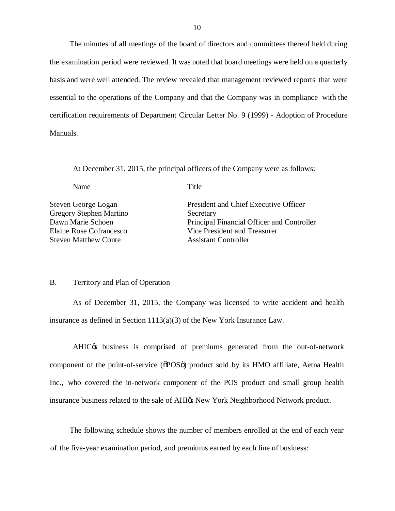The minutes of all meetings of the board of directors and committees thereof held during the examination period were reviewed. It was noted that board meetings were held on a quarterly basis and were well attended. The review revealed that management reviewed reports that were essential to the operations of the Company and that the Company was in compliance with the certification requirements of Department Circular Letter No. 9 (1999) - Adoption of Procedure Manuals.

At December 31, 2015, the principal officers of the Company were as follows:

Name Title

 Gregory Stephen Martino Elaine Rose Cofrancesco Steven George Logan Dawn Marie Schoen Steven Matthew Conte

 President and Chief Executive Officer Principal Financial Officer and Controller Assistant Controller Secretary Vice President and Treasurer

#### B. Territory and Plan of Operation

 As of December 31, 2015, the Company was licensed to write accident and health insurance as defined in Section 1113(a)(3) of the New York Insurance Law.

AHIC $\alpha$  business is comprised of premiums generated from the out-of-network component of the point-of-service ( $\delta$ POS $\ddot{o}$ ) product sold by its HMO affiliate, Aetna Health Inc., who covered the in-network component of the POS product and small group health insurance business related to the sale of AHI& New York Neighborhood Network product.

<span id="page-11-0"></span> The following schedule shows the number of members enrolled at the end of each year of the five-year examination period, and premiums earned by each line of business: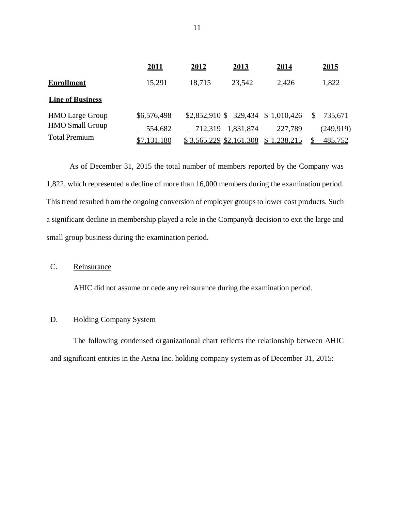|                         | 2011        | 2012                      | 2013      | 2014                                               | 2015                    |
|-------------------------|-------------|---------------------------|-----------|----------------------------------------------------|-------------------------|
| <b>Enrollment</b>       | 15,291      | 18,715                    | 23,542    | 2,426                                              | 1,822                   |
| <b>Line of Business</b> |             |                           |           |                                                    |                         |
| <b>HMO</b> Large Group  | \$6,576,498 |                           |           | $$2,852,910 \text{ } $329,434 \text{ } $1,010,426$ | <sup>S</sup><br>735.671 |
| <b>HMO Small Group</b>  | 554,682     | 712.319                   | 1,831,874 | 227,789                                            | (249.919)               |
| <b>Total Premium</b>    | \$7,131,180 | $$3,565,229$ $$2,161,308$ |           | \$1,238,215                                        | 485,752                 |

 1,822, which represented a decline of more than 16,000 members during the examination period. This trend resulted from the ongoing conversion of employer groups to lower cost products. Such a significant decline in membership played a role in the Company tecision to exit the large and small group business during the examination period. As of December 31, 2015 the total number of members reported by the Company was

### C. Reinsurance

AHIC did not assume or cede any reinsurance during the examination period.

#### D. Holding Company System

<span id="page-12-1"></span><span id="page-12-0"></span> The following condensed organizational chart reflects the relationship between AHIC and significant entities in the Aetna Inc. holding company system as of December 31, 2015: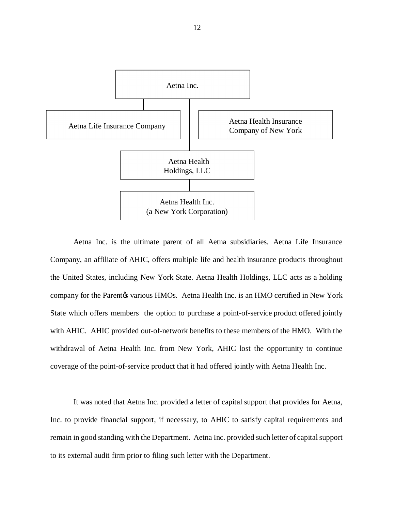

 Aetna Inc. is the ultimate parent of all Aetna subsidiaries. Aetna Life Insurance Company, an affiliate of AHIC, offers multiple life and health insurance products throughout the United States, including New York State. Aetna Health Holdings, LLC acts as a holding company for the Parentos various HMOs. Aetna Health Inc. is an HMO certified in New York State which offers members the option to purchase a point-of-service product offered jointly with AHIC. AHIC provided out-of-network benefits to these members of the HMO. With the withdrawal of Aetna Health Inc. from New York, AHIC lost the opportunity to continue coverage of the point-of-service product that it had offered jointly with Aetna Health Inc.

 It was noted that Aetna Inc. provided a letter of capital support that provides for Aetna, Inc. to provide financial support, if necessary, to AHIC to satisfy capital requirements and remain in good standing with the Department. Aetna Inc. provided such letter of capital support to its external audit firm prior to filing such letter with the Department.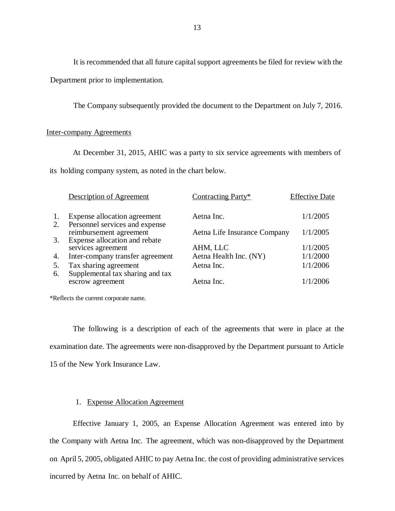It is recommended that all future capital support agreements be filed for review with the Department prior to implementation.

The Company subsequently provided the document to the Department on July 7, 2016.

#### Inter-company Agreements

 At December 31, 2015, AHIC was a party to six service agreements with members of its holding company system, as noted in the chart below.

|          | <b>Description of Agreement</b>                                                            | Contracting Party*           | <b>Effective Date</b> |
|----------|--------------------------------------------------------------------------------------------|------------------------------|-----------------------|
| 1.       | Expense allocation agreement                                                               | Aetna Inc.                   | 1/1/2005              |
| 2.<br>3. | Personnel services and expense<br>reimbursement agreement<br>Expense allocation and rebate | Aetna Life Insurance Company | 1/1/2005              |
|          | services agreement                                                                         | AHM, LLC                     | 1/1/2005              |
| 4.       | Inter-company transfer agreement                                                           | Aetna Health Inc. (NY)       | 1/1/2000              |
| 5.       | Tax sharing agreement                                                                      | Aetna Inc.                   | 1/1/2006              |
| 6.       | Supplemental tax sharing and tax<br>escrow agreement                                       | Aetna Inc.                   |                       |

\*Reflects the current corporate name.

 The following is a description of each of the agreements that were in place at the examination date. The agreements were non-disapproved by the Department pursuant to Article 15 of the New York Insurance Law.

#### 1. Expense Allocation Agreement

 Effective January 1, 2005, an Expense Allocation Agreement was entered into by the Company with Aetna Inc. The agreement, which was non-disapproved by the Department on April 5, 2005, obligated AHIC to pay Aetna Inc. the cost of providing administrative services incurred by Aetna Inc. on behalf of AHIC.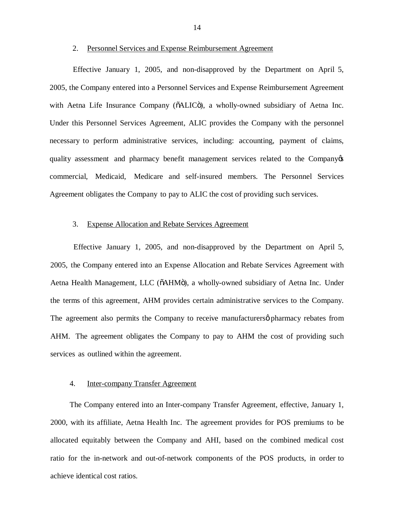#### 2. Personnel Services and Expense Reimbursement Agreement

 Effective January 1, 2005, and non-disapproved by the Department on April 5, 2005, the Company entered into a Personnel Services and Expense Reimbursement Agreement with Aetna Life Insurance Company ( $\delta A LIC$ ö), a wholly-owned subsidiary of Aetna Inc. Under this Personnel Services Agreement, ALIC provides the Company with the personnel necessary to perform administrative services, including: accounting, payment of claims, quality assessment and pharmacy benefit management services related to the Company  $\alpha$  commercial, Medicaid, Medicare and self-insured members. The Personnel Services Agreement obligates the Company to pay to ALIC the cost of providing such services.

#### 3. Expense Allocation and Rebate Services Agreement

 Effective January 1, 2005, and non-disapproved by the Department on April 5, 2005, the Company entered into an Expense Allocation and Rebate Services Agreement with Aetna Health Management, LLC (õAHMö), a wholly-owned subsidiary of Aetna Inc. Under the terms of this agreement, AHM provides certain administrative services to the Company. The agreement also permits the Company to receive manufacturersø pharmacy rebates from AHM. The agreement obligates the Company to pay to AHM the cost of providing such services as outlined within the agreement.

#### 4. Inter-company Transfer Agreement

 The Company entered into an Inter-company Transfer Agreement, effective, January 1, 2000, with its affiliate, Aetna Health Inc. The agreement provides for POS premiums to be allocated equitably between the Company and AHI, based on the combined medical cost ratio for the in-network and out-of-network components of the POS products, in order to achieve identical cost ratios.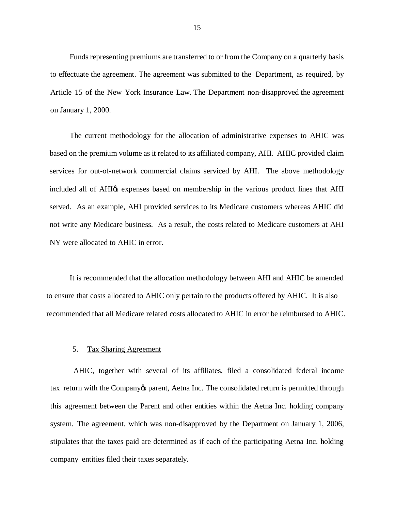Funds representing premiums are transferred to or from the Company on a quarterly basis to effectuate the agreement. The agreement was submitted to the Department, as required, by Article 15 of the New York Insurance Law. The Department non-disapproved the agreement on January 1, 2000.

 The current methodology for the allocation of administrative expenses to AHIC was based on the premium volume as it related to its affiliated company, AHI. AHIC provided claim services for out-of-network commercial claims serviced by AHI. The above methodology included all of AHIGS expenses based on membership in the various product lines that AHI served. As an example, AHI provided services to its Medicare customers whereas AHIC did not write any Medicare business. As a result, the costs related to Medicare customers at AHI NY were allocated to AHIC in error.

 It is recommended that the allocation methodology between AHI and AHIC be amended to ensure that costs allocated to AHIC only pertain to the products offered by AHIC. It is also recommended that all Medicare related costs allocated to AHIC in error be reimbursed to AHIC.

#### 5. Tax Sharing Agreement

 AHIC, together with several of its affiliates, filed a consolidated federal income tax return with the Company parent, Aetna Inc. The consolidated return is permitted through this agreement between the Parent and other entities within the Aetna Inc. holding company system. The agreement, which was non-disapproved by the Department on January 1, 2006, stipulates that the taxes paid are determined as if each of the participating Aetna Inc. holding company entities filed their taxes separately.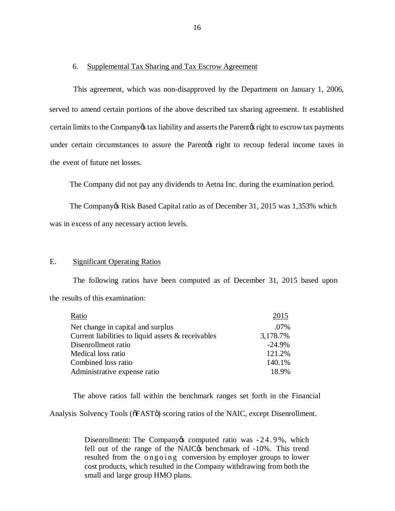#### 6. Supplemental Tax Sharing and Tax Escrow Agreement

 This agreement, which was non-disapproved by the Department on January 1, 2006, served to amend certain portions of the above described tax sharing agreement. It established certain limits to the Company tax liability and asserts the Parent os right to escrow tax payments under certain circumstances to assure the Parentos right to recoup federal income taxes in the event of future net losses.

The Company did not pay any dividends to Aetna Inc. during the examination period.

The Company & Risk Based Capital ratio as of December 31, 2015 was 1,353% which was in excess of any necessary action levels.

#### E. Significant Operating Ratios

 The following ratios have been computed as of December 31, 2015 based upon the results of this examination:

| Ratio                                              | 2015     |
|----------------------------------------------------|----------|
| Net change in capital and surplus                  | .07%     |
| Current liabilities to liquid assets & receivables | 3,178.7% |
| Disenrollment ratio                                | $-24.9%$ |
| Medical loss ratio                                 | 121.2%   |
| Combined loss ratio                                | 140.1%   |
| Administrative expense ratio                       | 18.9%    |

 The above ratios fall within the benchmark ranges set forth in the Financial Analysis Solvency Tools ( $\delta$ FAST<sub>0</sub>) scoring ratios of the NAIC, except Disenrollment.

> <span id="page-17-0"></span>Disenrollment: The Company & computed ratio was - 24.9%, which fell out of the range of the NAIC $\alpha$  benchmark of -10%. This trend resulted from the ongoing conversion by employer groups to lower cost products, which resulted in the Company withdrawing from both the small and large group HMO plans.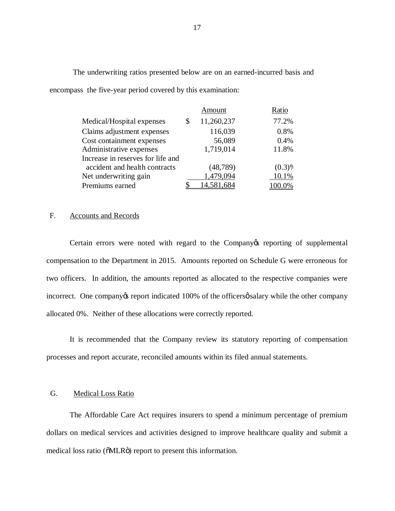The underwriting ratios presented below are on an earned-incurred basis and encompass the five-year period covered by this examination:

|                                   | Amount           | Ratio     |
|-----------------------------------|------------------|-----------|
| Medical/Hospital expenses         | \$<br>11,260,237 | 77.2%     |
| Claims adjustment expenses        | 116,039          | 0.8%      |
| Cost containment expenses         | 56,089           | 0.4%      |
| Administrative expenses           | 1,719,014        | 11.8%     |
| Increase in reserves for life and |                  |           |
| accident and health contracts     | (48, 789)        | $(0.3)$ % |
| Net underwriting gain             | 1,479,094        | 10.1%     |
| Premiums earned                   | 14,581,684       | $0.0\%$   |

#### F. Accounts and Records

Certain errors were noted with regard to the Company teporting of supplemental compensation to the Department in 2015. Amounts reported on Schedule G were erroneous for two officers. In addition, the amounts reported as allocated to the respective companies were incorrect. One company *is* report indicated 100% of the officers *ø* salary while the other company allocated 0%. Neither of these allocations were correctly reported.

 It is recommended that the Company review its statutory reporting of compensation processes and report accurate, reconciled amounts within its filed annual statements.

#### G. Medical Loss Ratio

<span id="page-18-0"></span> The Affordable Care Act requires insurers to spend a minimum percentage of premium dollars on medical services and activities designed to improve healthcare quality and submit a medical loss ratio ( $\delta MLR\ddot{o}$ ) report to present this information.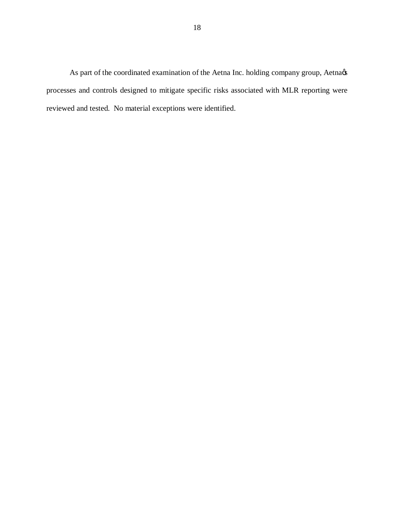reviewed and tested. No material exceptions were identified. As part of the coordinated examination of the Aetna Inc. holding company group, Aetna $\alpha$ processes and controls designed to mitigate specific risks associated with MLR reporting were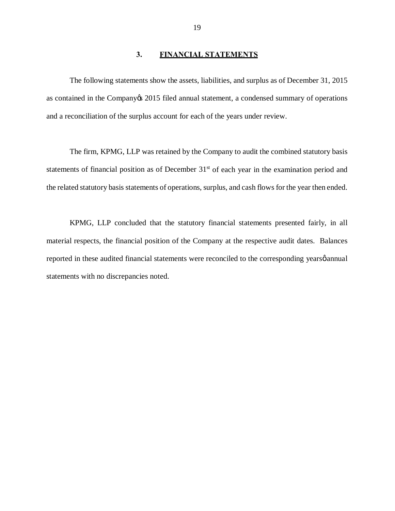## **3. FINANCIAL STATEMENTS**

 The following statements show the assets, liabilities, and surplus as of December 31, 2015 as contained in the Company  $\alpha$  2015 filed annual statement, a condensed summary of operations and a reconciliation of the surplus account for each of the years under review.

 The firm, KPMG, LLP was retained by the Company to audit the combined statutory basis statements of financial position as of December 31<sup>st</sup> of each year in the examination period and the related statutory basis statements of operations, surplus, and cash flows for the year then ended.

<span id="page-20-0"></span> KPMG, LLP concluded that the statutory financial statements presented fairly, in all material respects, the financial position of the Company at the respective audit dates. Balances reported in these audited financial statements were reconciled to the corresponding yearsø annual statements with no discrepancies noted.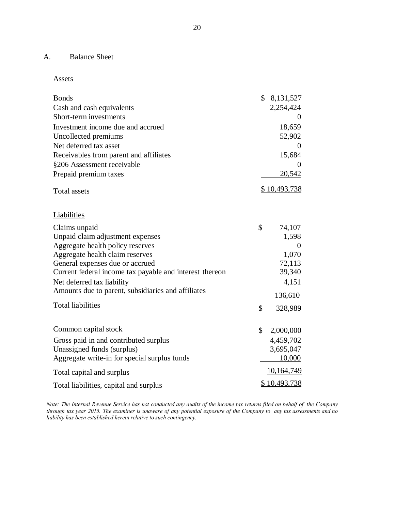## A. Balance Sheet

|--|

| <b>Bonds</b>                                                        | \$<br>8,131,527            |
|---------------------------------------------------------------------|----------------------------|
| Cash and cash equivalents                                           | 2,254,424                  |
| Short-term investments                                              | $\theta$                   |
| Investment income due and accrued                                   | 18,659                     |
| Uncollected premiums                                                | 52,902                     |
| Net deferred tax asset                                              | $\theta$                   |
| Receivables from parent and affiliates                              | 15,684                     |
| §206 Assessment receivable                                          | $\theta$                   |
| Prepaid premium taxes                                               | 20,542                     |
|                                                                     | \$10,493,738               |
| Total assets                                                        |                            |
|                                                                     |                            |
| Liabilities                                                         |                            |
| Claims unpaid                                                       | \$<br>74,107               |
| Unpaid claim adjustment expenses                                    | 1,598                      |
| Aggregate health policy reserves                                    | $\overline{0}$             |
| Aggregate health claim reserves                                     | 1,070                      |
| General expenses due or accrued                                     | 72,113                     |
| Current federal income tax payable and interest thereon             | 39,340                     |
| Net deferred tax liability                                          | 4,151                      |
| Amounts due to parent, subsidiaries and affiliates                  | 136,610                    |
| <b>Total liabilities</b>                                            | \$<br>328,989              |
|                                                                     |                            |
| Common capital stock                                                | $\mathcal{S}$<br>2,000,000 |
|                                                                     |                            |
| Gross paid in and contributed surplus<br>Unassigned funds (surplus) | 4,459,702<br>3,695,047     |
| Aggregate write-in for special surplus funds                        | 10,000                     |
|                                                                     |                            |
| Total capital and surplus                                           | 10,164,749                 |
| Total liabilities, capital and surplus                              | <u>\$10,493,738</u>        |

<span id="page-21-0"></span> *liability has been established herein relative to such contingency. Note: The Internal Revenue Service has not conducted any audits of the income tax returns filed on behalf of the Company through tax year 2015. The examiner is unaware of any potential exposure of the Company to any tax assessments and no*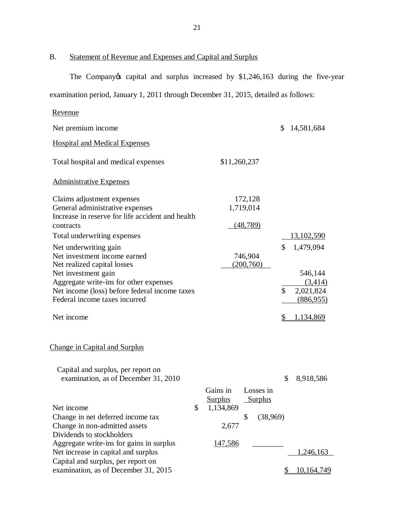#### B. Statement of Revenue and Expenses and Capital and Surplus

The Company  $\alpha$  capital and surplus increased by \$1,246,163 during the five-year examination period, January 1, 2011 through December 31, 2015, detailed as follows:

<span id="page-22-0"></span>

| Revenue                                                                                                                                                                        |                                                           |                                                           |
|--------------------------------------------------------------------------------------------------------------------------------------------------------------------------------|-----------------------------------------------------------|-----------------------------------------------------------|
| Net premium income                                                                                                                                                             |                                                           | \$<br>14,581,684                                          |
| <b>Hospital and Medical Expenses</b>                                                                                                                                           |                                                           |                                                           |
| Total hospital and medical expenses                                                                                                                                            | \$11,260,237                                              |                                                           |
| <b>Administrative Expenses</b>                                                                                                                                                 |                                                           |                                                           |
| Claims adjustment expenses<br>General administrative expenses                                                                                                                  | 172,128<br>1,719,014                                      |                                                           |
| Increase in reserve for life accident and health<br>contracts                                                                                                                  | (48, 789)                                                 |                                                           |
| Total underwriting expenses<br>Net underwriting gain<br>Net investment income earned                                                                                           | 746,904                                                   | <u>13,102,590</u><br>\$<br>1,479,094                      |
| Net realized capital losses<br>Net investment gain<br>Aggregate write-ins for other expenses<br>Net income (loss) before federal income taxes<br>Federal income taxes incurred | (200, 760)                                                | 546,144<br>(3,414)<br>\$<br>2,021,824<br><u>(886,955)</u> |
| Net income                                                                                                                                                                     |                                                           | 1,134,869<br>$\frac{1}{2}$                                |
| <b>Change in Capital and Surplus</b>                                                                                                                                           |                                                           |                                                           |
| Capital and surplus, per report on<br>examination, as of December 31, 2010                                                                                                     |                                                           | \$<br>8,918,586                                           |
|                                                                                                                                                                                | Gains in<br>Losses in<br><b>Surplus</b><br><b>Surplus</b> |                                                           |
| \$<br>Net income<br>Change in net deferred income tax<br>Change in non-admitted assets<br>Dividends to stockholders                                                            | 1,134,869<br>\$<br>(38,969)<br>2,677                      |                                                           |
| Aggregate write-ins for gains in surplus<br>Net increase in capital and surplus                                                                                                | <u>147,586</u>                                            | 1,246,163                                                 |
| Capital and surplus, per report on<br>examination, as of December 31, 2015                                                                                                     |                                                           | \$<br><u>10,164,749</u>                                   |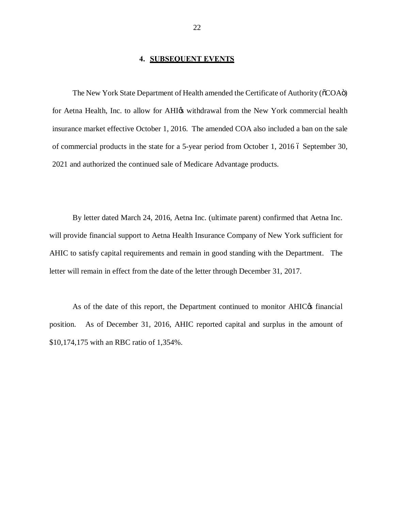#### **4. SUBSEQUENT EVENTS**

The New York State Department of Health amended the Certificate of Authority ( $\delta COA\ddot{o}$ ) for Aetna Health, Inc. to allow for AHI $\alpha$  withdrawal from the New York commercial health insurance market effective October 1, 2016. The amended COA also included a ban on the sale of commercial products in the state for a 5-year period from October 1, 2016 ó September 30, 2021 and authorized the continued sale of Medicare Advantage products.

 By letter dated March 24, 2016, Aetna Inc. (ultimate parent) confirmed that Aetna Inc. will provide financial support to Aetna Health Insurance Company of New York sufficient for AHIC to satisfy capital requirements and remain in good standing with the Department. The letter will remain in effect from the date of the letter through December 31, 2017.

<span id="page-23-0"></span>As of the date of this report, the Department continued to monitor AHIC $\alpha$  financial position. \$10,174,175 with an RBC ratio of 1,354%. As of December 31, 2016, AHIC reported capital and surplus in the amount of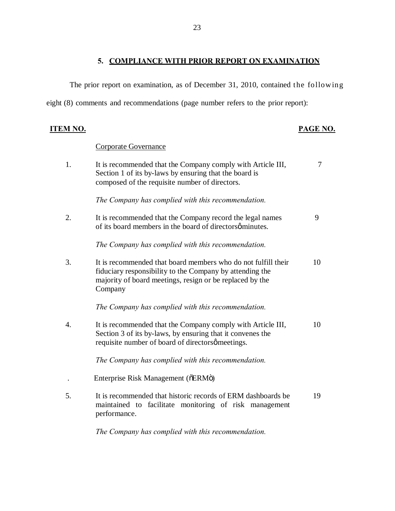### **5. COMPLIANCE WITH PRIOR REPORT ON EXAMINATION**

 The prior report on examination, as of December 31, 2010, contained the following eight (8) comments and recommendations (page number refers to the prior report):

**ITEM NO.** 

## **PAGE NO.**

#### Corporate Governance

| 1. | It is recommended that the Company comply with Article III,<br>Section 1 of its by-laws by ensuring that the board is<br>composed of the requisite number of directors.                          | $\overline{7}$ |
|----|--------------------------------------------------------------------------------------------------------------------------------------------------------------------------------------------------|----------------|
|    | The Company has complied with this recommendation.                                                                                                                                               |                |
| 2. | It is recommended that the Company record the legal names<br>of its board members in the board of directors ominutes.                                                                            | 9              |
|    | The Company has complied with this recommendation.                                                                                                                                               |                |
| 3. | It is recommended that board members who do not fulfill their<br>fiduciary responsibility to the Company by attending the<br>majority of board meetings, resign or be replaced by the<br>Company | 10             |
|    | The Company has complied with this recommendation.                                                                                                                                               |                |
| 4. | It is recommended that the Company comply with Article III,<br>Section 3 of its by-laws, by ensuring that it convenes the<br>requisite number of board of directors <i>o</i> meetings.           | 10             |
|    | The Company has complied with this recommendation.                                                                                                                                               |                |
|    | Enterprise Risk Management (õERMö)                                                                                                                                                               |                |
| 5. | It is recommended that historic records of ERM dashboards be<br>maintained to facilitate monitoring of risk management<br>performance.                                                           | 19             |

<span id="page-24-0"></span>*The Company has complied with this recommendation.*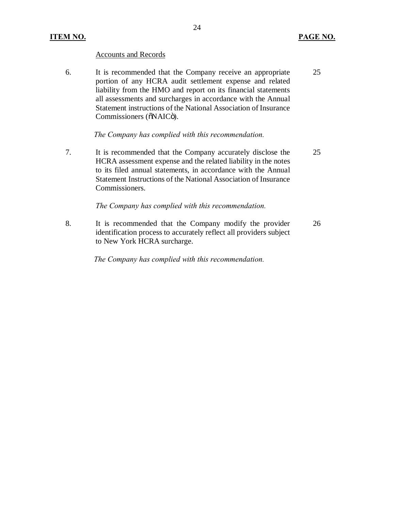#### Accounts and Records

6. portion of any HCRA audit settlement expense and related liability from the HMO and report on its financial statements all assessments and surcharges in accordance with the Annual Statement instructions of the National Association of Insurance Commissioners (õNAICö). It is recommended that the Company receive an appropriate 25

*The Company has complied with this recommendation.* 

 7. It is recommended that the Company accurately disclose the HCRA assessment expense and the related liability in the notes to its filed annual statements, in accordance with the Annual Statement Instructions of the National Association of Insurance Commissioners. 25

*The Company has complied with this recommendation.* 

 8. It is recommended that the Company modify the provider identification process to accurately reflect all providers subject to New York HCRA surcharge. 26

*The Company has complied with this recommendation.*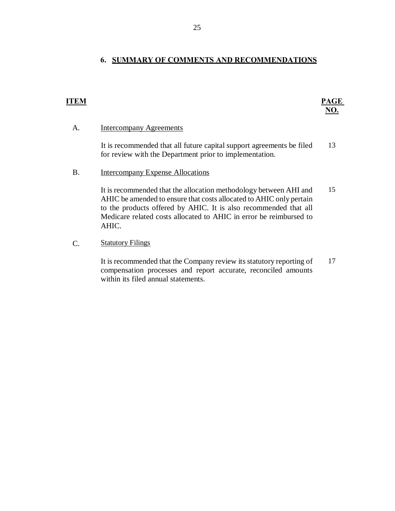## **6. SUMMARY OF COMMENTS AND RECOMMENDATIONS**

## **ITEM PAGE NO.**

### A. **Intercompany Agreements**

 It is recommended that all future capital support agreements be filed for review with the Department prior to implementation. 13

B. Intercompany Expense Allocations

 It is recommended that the allocation methodology between AHI and to the products offered by AHIC. It is also recommended that all Medicare related costs allocated to AHIC in error be reimbursed to AHIC. AHIC be amended to ensure that costs allocated to AHIC only pertain It is recommended that the allocation methodology between AHI and<br>AHIC be amended to ensure that costs allocated to AHIC only pertain<br>to the products offered by AHIC. It is also recommended that all<br>Medicare related costs

C. Statutory Filings

<span id="page-26-0"></span> It is recommended that the Company review its statutory reporting of compensation processes and report accurate, reconciled amounts within its filed annual statements. 17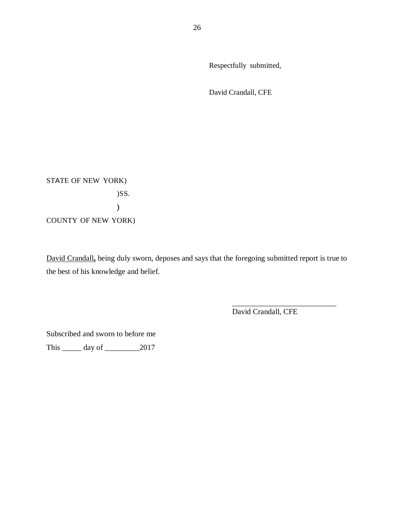Respectfully submitted,

David Crandall, CFE

 STATE OF NEW YORK) COUNTY OF NEW YORK) )SS. )

 David Crandall**,** being duly sworn, deposes and says that the foregoing submitted report is true to the best of his knowledge and belief.

David Crandall, CFE

\_\_\_\_\_\_\_\_\_\_\_\_\_\_\_\_\_\_\_\_\_\_\_\_\_\_\_

Subscribed and sworn to before me

This \_\_\_\_\_ day of \_\_\_\_\_\_\_\_\_2017